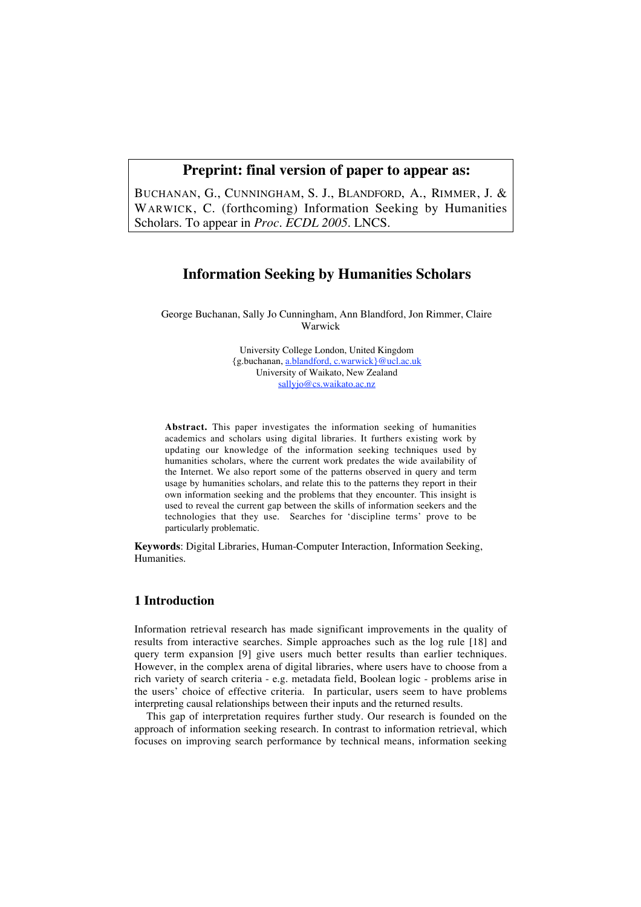# **Preprint: final version of paper to appear as:**

BUCHANAN, G., CUNNINGHAM, S. J., BLANDFORD, A., RIMMER, J. & WARWICK, C. (forthcoming) Information Seeking by Humanities Scholars. To appear in *Proc. ECDL 2005*. LNCS.

# **Information Seeking by Humanities Scholars**

George Buchanan, Sally Jo Cunningham, Ann Blandford, Jon Rimmer, Claire Warwick

> University College London, United Kingdom {g.buchanan, a.blandford, c.warwick}@ucl.ac.uk University of Waikato, New Zealand sallyjo@cs.waikato.ac.nz

**Abstract.** This paper investigates the information seeking of humanities academics and scholars using digital libraries. It furthers existing work by updating our knowledge of the information seeking techniques used by humanities scholars, where the current work predates the wide availability of the Internet. We also report some of the patterns observed in query and term usage by humanities scholars, and relate this to the patterns they report in their own information seeking and the problems that they encounter. This insight is used to reveal the current gap between the skills of information seekers and the technologies that they use. Searches for 'discipline terms' prove to be particularly problematic.

**Keywords**: Digital Libraries, Human-Computer Interaction, Information Seeking, Humanities.

# **1 Introduction**

Information retrieval research has made significant improvements in the quality of results from interactive searches. Simple approaches such as the log rule [18] and query term expansion [9] give users much better results than earlier techniques. However, in the complex arena of digital libraries, where users have to choose from a rich variety of search criteria - e.g. metadata field, Boolean logic - problems arise in the users' choice of effective criteria. In particular, users seem to have problems interpreting causal relationships between their inputs and the returned results.

This gap of interpretation requires further study. Our research is founded on the approach of information seeking research. In contrast to information retrieval, which focuses on improving search performance by technical means, information seeking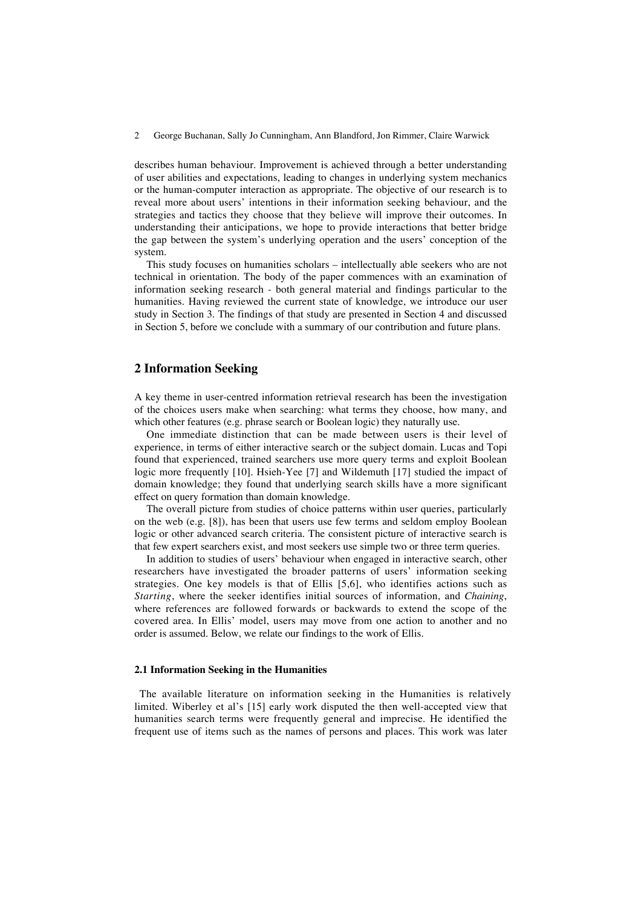describes human behaviour. Improvement is achieved through a better understanding of user abilities and expectations, leading to changes in underlying system mechanics or the human-computer interaction as appropriate. The objective of our research is to reveal more about users' intentions in their information seeking behaviour, and the strategies and tactics they choose that they believe will improve their outcomes. In understanding their anticipations, we hope to provide interactions that better bridge the gap between the system's underlying operation and the users' conception of the system.

This study focuses on humanities scholars – intellectually able seekers who are not technical in orientation. The body of the paper commences with an examination of information seeking research - both general material and findings particular to the humanities. Having reviewed the current state of knowledge, we introduce our user study in Section 3. The findings of that study are presented in Section 4 and discussed in Section 5, before we conclude with a summary of our contribution and future plans.

# **2 Information Seeking**

A key theme in user-centred information retrieval research has been the investigation of the choices users make when searching: what terms they choose, how many, and which other features (e.g. phrase search or Boolean logic) they naturally use.

One immediate distinction that can be made between users is their level of experience, in terms of either interactive search or the subject domain. Lucas and Topi found that experienced, trained searchers use more query terms and exploit Boolean logic more frequently [10]. Hsieh-Yee [7] and Wildemuth [17] studied the impact of domain knowledge; they found that underlying search skills have a more significant effect on query formation than domain knowledge.

The overall picture from studies of choice patterns within user queries, particularly on the web (e.g. [8]), has been that users use few terms and seldom employ Boolean logic or other advanced search criteria. The consistent picture of interactive search is that few expert searchers exist, and most seekers use simple two or three term queries.

In addition to studies of users' behaviour when engaged in interactive search, other researchers have investigated the broader patterns of users' information seeking strategies. One key models is that of Ellis [5,6], who identifies actions such as *Starting*, where the seeker identifies initial sources of information, and *Chaining*, where references are followed forwards or backwards to extend the scope of the covered area. In Ellis' model, users may move from one action to another and no order is assumed. Below, we relate our findings to the work of Ellis.

### **2.1 Information Seeking in the Humanities**

The available literature on information seeking in the Humanities is relatively limited. Wiberley et al's [15] early work disputed the then well-accepted view that humanities search terms were frequently general and imprecise. He identified the frequent use of items such as the names of persons and places. This work was later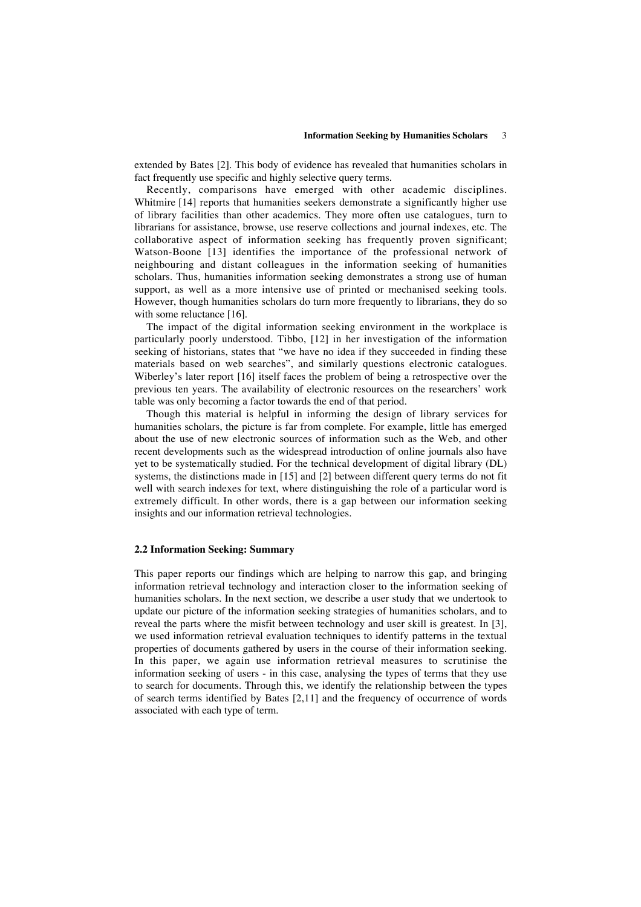extended by Bates [2]. This body of evidence has revealed that humanities scholars in fact frequently use specific and highly selective query terms.

Recently, comparisons have emerged with other academic disciplines. Whitmire [14] reports that humanities seekers demonstrate a significantly higher use of library facilities than other academics. They more often use catalogues, turn to librarians for assistance, browse, use reserve collections and journal indexes, etc. The collaborative aspect of information seeking has frequently proven significant; Watson-Boone [13] identifies the importance of the professional network of neighbouring and distant colleagues in the information seeking of humanities scholars. Thus, humanities information seeking demonstrates a strong use of human support, as well as a more intensive use of printed or mechanised seeking tools. However, though humanities scholars do turn more frequently to librarians, they do so with some reluctance [16].

The impact of the digital information seeking environment in the workplace is particularly poorly understood. Tibbo, [12] in her investigation of the information seeking of historians, states that "we have no idea if they succeeded in finding these materials based on web searches", and similarly questions electronic catalogues. Wiberley's later report [16] itself faces the problem of being a retrospective over the previous ten years. The availability of electronic resources on the researchers' work table was only becoming a factor towards the end of that period.

Though this material is helpful in informing the design of library services for humanities scholars, the picture is far from complete. For example, little has emerged about the use of new electronic sources of information such as the Web, and other recent developments such as the widespread introduction of online journals also have yet to be systematically studied. For the technical development of digital library (DL) systems, the distinctions made in [15] and [2] between different query terms do not fit well with search indexes for text, where distinguishing the role of a particular word is extremely difficult. In other words, there is a gap between our information seeking insights and our information retrieval technologies.

### **2.2 Information Seeking: Summary**

This paper reports our findings which are helping to narrow this gap, and bringing information retrieval technology and interaction closer to the information seeking of humanities scholars. In the next section, we describe a user study that we undertook to update our picture of the information seeking strategies of humanities scholars, and to reveal the parts where the misfit between technology and user skill is greatest. In [3], we used information retrieval evaluation techniques to identify patterns in the textual properties of documents gathered by users in the course of their information seeking. In this paper, we again use information retrieval measures to scrutinise the information seeking of users - in this case, analysing the types of terms that they use to search for documents. Through this, we identify the relationship between the types of search terms identified by Bates [2,11] and the frequency of occurrence of words associated with each type of term.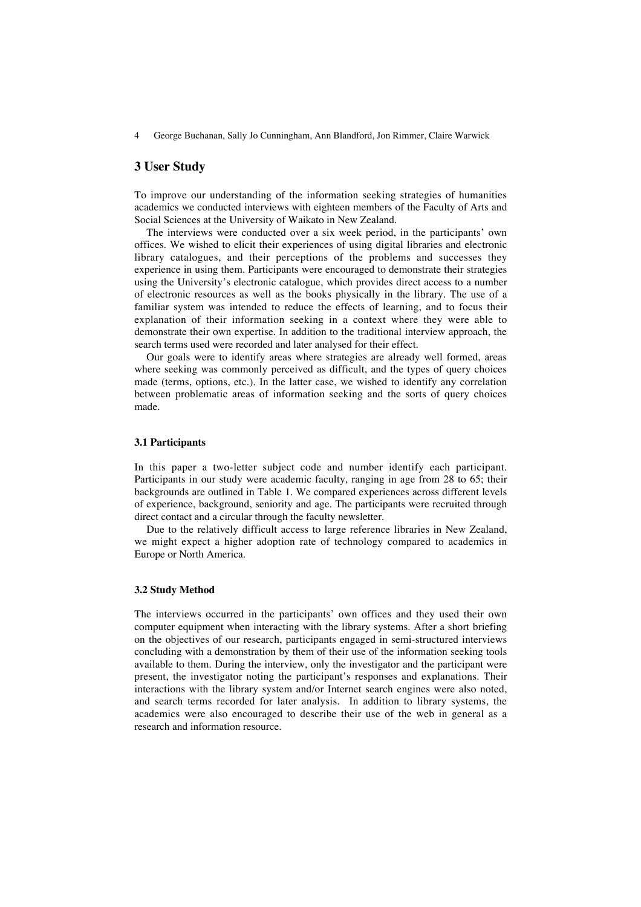# **3 User Study**

To improve our understanding of the information seeking strategies of humanities academics we conducted interviews with eighteen members of the Faculty of Arts and Social Sciences at the University of Waikato in New Zealand.

The interviews were conducted over a six week period, in the participants' own offices. We wished to elicit their experiences of using digital libraries and electronic library catalogues, and their perceptions of the problems and successes they experience in using them. Participants were encouraged to demonstrate their strategies using the University's electronic catalogue, which provides direct access to a number of electronic resources as well as the books physically in the library. The use of a familiar system was intended to reduce the effects of learning, and to focus their explanation of their information seeking in a context where they were able to demonstrate their own expertise. In addition to the traditional interview approach, the search terms used were recorded and later analysed for their effect.

Our goals were to identify areas where strategies are already well formed, areas where seeking was commonly perceived as difficult, and the types of query choices made (terms, options, etc.). In the latter case, we wished to identify any correlation between problematic areas of information seeking and the sorts of query choices made.

### **3.1 Participants**

In this paper a two-letter subject code and number identify each participant. Participants in our study were academic faculty, ranging in age from 28 to 65; their backgrounds are outlined in Table 1. We compared experiences across different levels of experience, background, seniority and age. The participants were recruited through direct contact and a circular through the faculty newsletter.

Due to the relatively difficult access to large reference libraries in New Zealand, we might expect a higher adoption rate of technology compared to academics in Europe or North America.

#### **3.2 Study Method**

The interviews occurred in the participants' own offices and they used their own computer equipment when interacting with the library systems. After a short briefing on the objectives of our research, participants engaged in semi-structured interviews concluding with a demonstration by them of their use of the information seeking tools available to them. During the interview, only the investigator and the participant were present, the investigator noting the participant's responses and explanations. Their interactions with the library system and/or Internet search engines were also noted, and search terms recorded for later analysis. In addition to library systems, the academics were also encouraged to describe their use of the web in general as a research and information resource.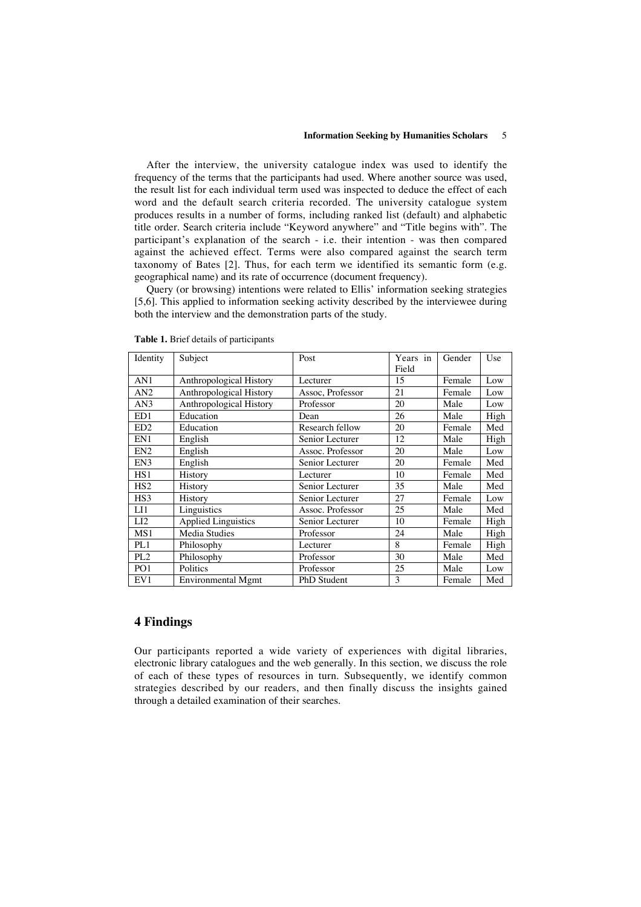#### **Information Seeking by Humanities Scholars** 5

After the interview, the university catalogue index was used to identify the frequency of the terms that the participants had used. Where another source was used, the result list for each individual term used was inspected to deduce the effect of each word and the default search criteria recorded. The university catalogue system produces results in a number of forms, including ranked list (default) and alphabetic title order. Search criteria include "Keyword anywhere" and "Title begins with". The participant's explanation of the search - i.e. their intention - was then compared against the achieved effect. Terms were also compared against the search term taxonomy of Bates [2]. Thus, for each term we identified its semantic form (e.g. geographical name) and its rate of occurrence (document frequency).

Query (or browsing) intentions were related to Ellis' information seeking strategies [5,6]. This applied to information seeking activity described by the interviewee during both the interview and the demonstration parts of the study.

| Identity        | Subject                    | Post               | Years in | Gender | Use  |
|-----------------|----------------------------|--------------------|----------|--------|------|
|                 |                            |                    | Field    |        |      |
| AN1             | Anthropological History    | Lecturer           | 15       | Female | Low  |
| AN2             | Anthropological History    | Assoc, Professor   | 21       | Female | Low  |
| AN3             | Anthropological History    | Professor          | 20       | Male   | Low  |
| ED <sub>1</sub> | Education                  | Dean               | 26       | Male   | High |
| ED2             | Education                  | Research fellow    | 20       | Female | Med  |
| EN1             | English                    | Senior Lecturer    | 12       | Male   | High |
| EN <sub>2</sub> | English                    | Assoc. Professor   | 20       | Male   | Low  |
| EN3             | English                    | Senior Lecturer    | 20       | Female | Med  |
| HS1             | History                    | Lecturer           | 10       | Female | Med  |
| HS <sub>2</sub> | History                    | Senior Lecturer    | 35       | Male   | Med  |
| HS <sub>3</sub> | <b>History</b>             | Senior Lecturer    | 27       | Female | Low  |
| LI1             | Linguistics                | Assoc. Professor   | 25       | Male   | Med  |
| LI2             | <b>Applied Linguistics</b> | Senior Lecturer    | 10       | Female | High |
| MS1             | <b>Media Studies</b>       | Professor          | 24       | Male   | High |
| PL1             | Philosophy                 | Lecturer           | 8        | Female | High |
| PL <sub>2</sub> | Philosophy                 | Professor          | 30       | Male   | Med  |
| PO <sub>1</sub> | Politics                   | Professor          | 25       | Male   | Low  |
| EV1             | Environmental Mgmt         | <b>PhD</b> Student | 3        | Female | Med  |

**Table 1.** Brief details of participants

# **4 Findings**

Our participants reported a wide variety of experiences with digital libraries, electronic library catalogues and the web generally. In this section, we discuss the role of each of these types of resources in turn. Subsequently, we identify common strategies described by our readers, and then finally discuss the insights gained through a detailed examination of their searches.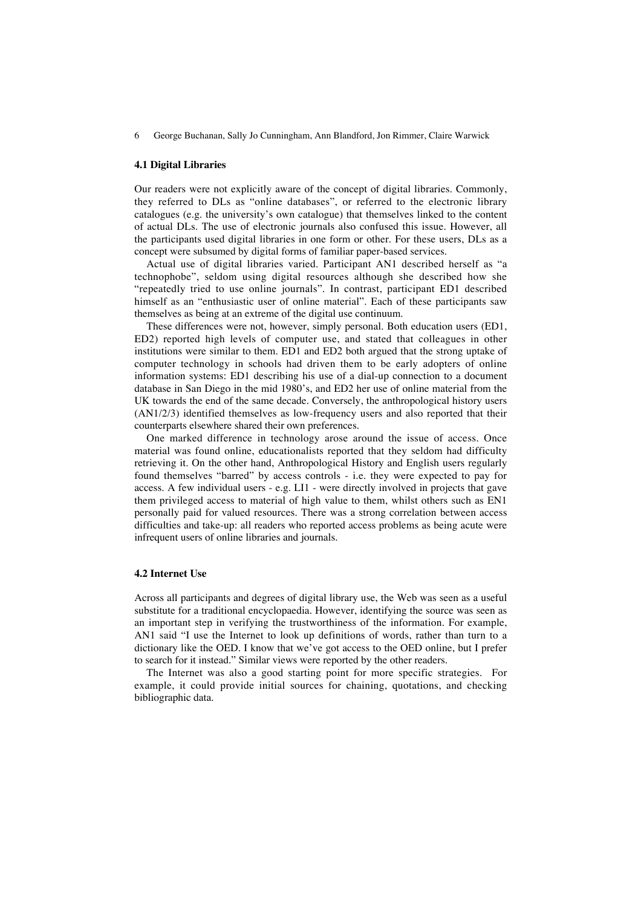#### **4.1 Digital Libraries**

Our readers were not explicitly aware of the concept of digital libraries. Commonly, they referred to DLs as "online databases", or referred to the electronic library catalogues (e.g. the university's own catalogue) that themselves linked to the content of actual DLs. The use of electronic journals also confused this issue. However, all the participants used digital libraries in one form or other. For these users, DLs as a concept were subsumed by digital forms of familiar paper-based services.

Actual use of digital libraries varied. Participant AN1 described herself as "a technophobe", seldom using digital resources although she described how she "repeatedly tried to use online journals". In contrast, participant ED1 described himself as an "enthusiastic user of online material". Each of these participants saw themselves as being at an extreme of the digital use continuum.

These differences were not, however, simply personal. Both education users (ED1, ED2) reported high levels of computer use, and stated that colleagues in other institutions were similar to them. ED1 and ED2 both argued that the strong uptake of computer technology in schools had driven them to be early adopters of online information systems: ED1 describing his use of a dial-up connection to a document database in San Diego in the mid 1980's, and ED2 her use of online material from the UK towards the end of the same decade. Conversely, the anthropological history users (AN1/2/3) identified themselves as low-frequency users and also reported that their counterparts elsewhere shared their own preferences.

One marked difference in technology arose around the issue of access. Once material was found online, educationalists reported that they seldom had difficulty retrieving it. On the other hand, Anthropological History and English users regularly found themselves "barred" by access controls - i.e. they were expected to pay for access. A few individual users - e.g. LI1 - were directly involved in projects that gave them privileged access to material of high value to them, whilst others such as EN1 personally paid for valued resources. There was a strong correlation between access difficulties and take-up: all readers who reported access problems as being acute were infrequent users of online libraries and journals.

# **4.2 Internet Use**

Across all participants and degrees of digital library use, the Web was seen as a useful substitute for a traditional encyclopaedia. However, identifying the source was seen as an important step in verifying the trustworthiness of the information. For example, AN1 said "I use the Internet to look up definitions of words, rather than turn to a dictionary like the OED. I know that we've got access to the OED online, but I prefer to search for it instead." Similar views were reported by the other readers.

The Internet was also a good starting point for more specific strategies. For example, it could provide initial sources for chaining, quotations, and checking bibliographic data.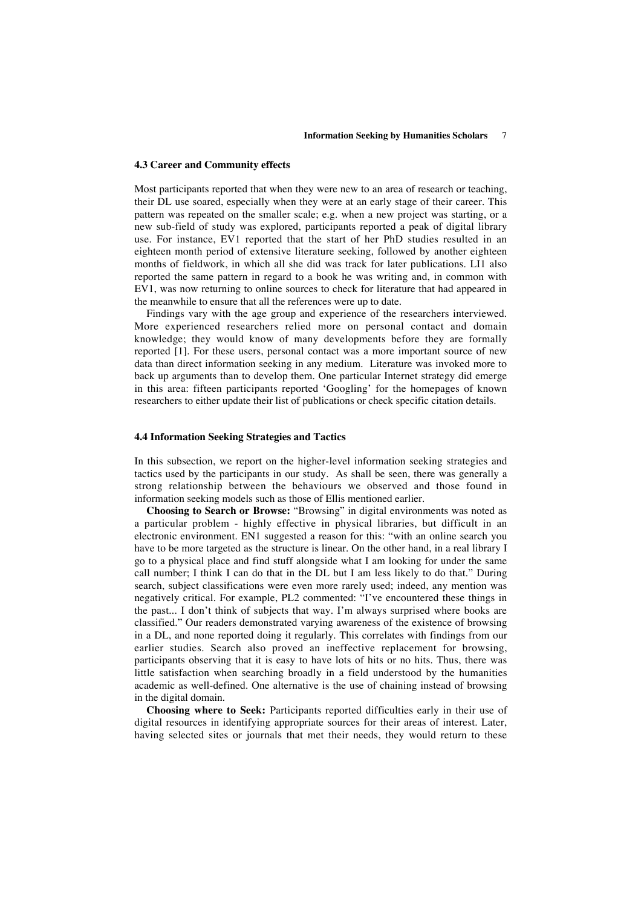#### **4.3 Career and Community effects**

Most participants reported that when they were new to an area of research or teaching, their DL use soared, especially when they were at an early stage of their career. This pattern was repeated on the smaller scale; e.g. when a new project was starting, or a new sub-field of study was explored, participants reported a peak of digital library use. For instance, EV1 reported that the start of her PhD studies resulted in an eighteen month period of extensive literature seeking, followed by another eighteen months of fieldwork, in which all she did was track for later publications. LI1 also reported the same pattern in regard to a book he was writing and, in common with EV1, was now returning to online sources to check for literature that had appeared in the meanwhile to ensure that all the references were up to date.

Findings vary with the age group and experience of the researchers interviewed. More experienced researchers relied more on personal contact and domain knowledge; they would know of many developments before they are formally reported [1]. For these users, personal contact was a more important source of new data than direct information seeking in any medium. Literature was invoked more to back up arguments than to develop them. One particular Internet strategy did emerge in this area: fifteen participants reported 'Googling' for the homepages of known researchers to either update their list of publications or check specific citation details.

### **4.4 Information Seeking Strategies and Tactics**

In this subsection, we report on the higher-level information seeking strategies and tactics used by the participants in our study. As shall be seen, there was generally a strong relationship between the behaviours we observed and those found in information seeking models such as those of Ellis mentioned earlier.

**Choosing to Search or Browse:** "Browsing" in digital environments was noted as a particular problem - highly effective in physical libraries, but difficult in an electronic environment. EN1 suggested a reason for this: "with an online search you have to be more targeted as the structure is linear. On the other hand, in a real library I go to a physical place and find stuff alongside what I am looking for under the same call number; I think I can do that in the DL but I am less likely to do that." During search, subject classifications were even more rarely used; indeed, any mention was negatively critical. For example, PL2 commented: "I've encountered these things in the past... I don't think of subjects that way. I'm always surprised where books are classified." Our readers demonstrated varying awareness of the existence of browsing in a DL, and none reported doing it regularly. This correlates with findings from our earlier studies. Search also proved an ineffective replacement for browsing, participants observing that it is easy to have lots of hits or no hits. Thus, there was little satisfaction when searching broadly in a field understood by the humanities academic as well-defined. One alternative is the use of chaining instead of browsing in the digital domain.

**Choosing where to Seek:** Participants reported difficulties early in their use of digital resources in identifying appropriate sources for their areas of interest. Later, having selected sites or journals that met their needs, they would return to these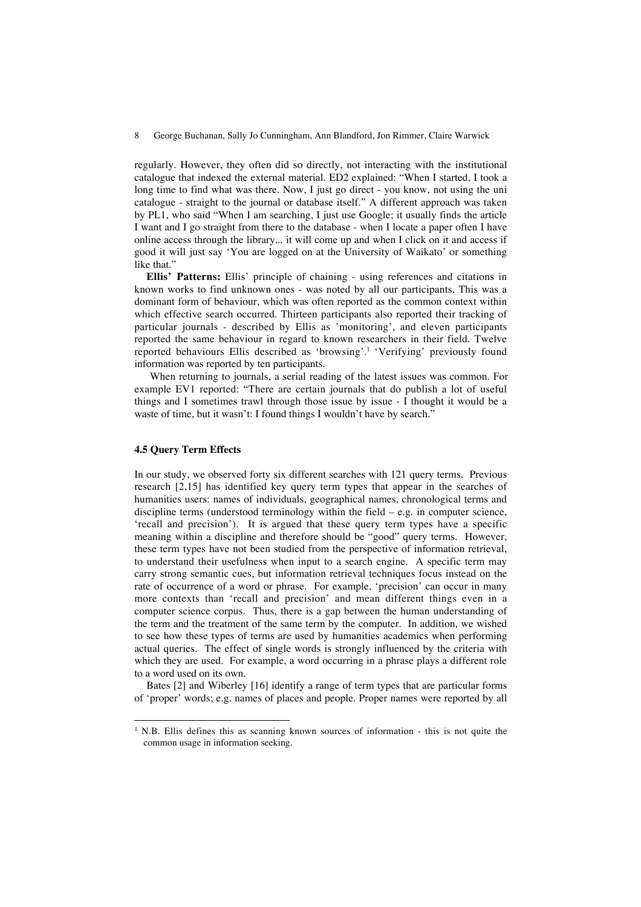regularly. However, they often did so directly, not interacting with the institutional catalogue that indexed the external material. ED2 explained: "When I started, I took a long time to find what was there. Now, I just go direct - you know, not using the uni catalogue - straight to the journal or database itself." A different approach was taken by PL1, who said "When I am searching, I just use Google; it usually finds the article I want and I go straight from there to the database - when I locate a paper often I have online access through the library... it will come up and when I click on it and access if good it will just say 'You are logged on at the University of Waikato' or something like that."

**Ellis' Patterns:** Ellis' principle of chaining - using references and citations in known works to find unknown ones - was noted by all our participants. This was a dominant form of behaviour, which was often reported as the common context within which effective search occurred. Thirteen participants also reported their tracking of particular journals - described by Ellis as 'monitoring', and eleven participants reported the same behaviour in regard to known researchers in their field. Twelve reported behaviours Ellis described as 'browsing'.<sup>1</sup> 'Verifying' previously found information was reported by ten participants.

When returning to journals, a serial reading of the latest issues was common. For example EV1 reported: "There are certain journals that do publish a lot of useful things and I sometimes trawl through those issue by issue - I thought it would be a waste of time, but it wasn't: I found things I wouldn't have by search."

### **4.5 Query Term Effects**

In our study, we observed forty six different searches with 121 query terms. Previous research [2,15] has identified key query term types that appear in the searches of humanities users: names of individuals, geographical names, chronological terms and discipline terms (understood terminology within the field – e.g. in computer science, 'recall and precision'). It is argued that these query term types have a specific meaning within a discipline and therefore should be "good" query terms. However, these term types have not been studied from the perspective of information retrieval, to understand their usefulness when input to a search engine. A specific term may carry strong semantic cues, but information retrieval techniques focus instead on the rate of occurrence of a word or phrase. For example, 'precision' can occur in many more contexts than 'recall and precision' and mean different things even in a computer science corpus. Thus, there is a gap between the human understanding of the term and the treatment of the same term by the computer. In addition, we wished to see how these types of terms are used by humanities academics when performing actual queries. The effect of single words is strongly influenced by the criteria with which they are used. For example, a word occurring in a phrase plays a different role to a word used on its own.

Bates [2] and Wiberley [16] identify a range of term types that are particular forms of 'proper' words; e.g. names of places and people. Proper names were reported by all

<sup>&</sup>lt;sup>1</sup> N.B. Ellis defines this as scanning known sources of information - this is not quite the common usage in information seeking.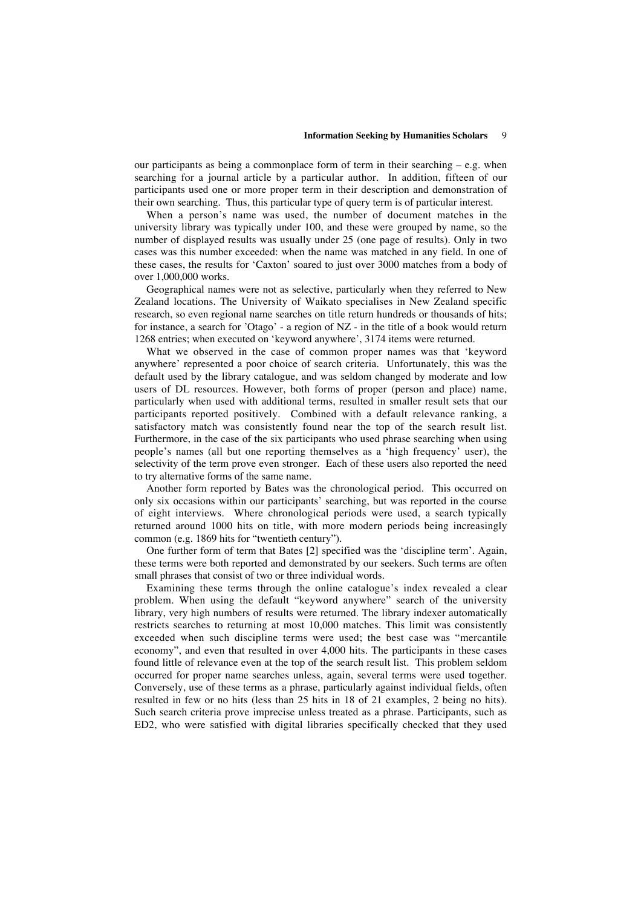our participants as being a commonplace form of term in their searching – e.g. when searching for a journal article by a particular author. In addition, fifteen of our participants used one or more proper term in their description and demonstration of their own searching. Thus, this particular type of query term is of particular interest.

When a person's name was used, the number of document matches in the university library was typically under 100, and these were grouped by name, so the number of displayed results was usually under 25 (one page of results). Only in two cases was this number exceeded: when the name was matched in any field. In one of these cases, the results for 'Caxton' soared to just over 3000 matches from a body of over 1,000,000 works.

Geographical names were not as selective, particularly when they referred to New Zealand locations. The University of Waikato specialises in New Zealand specific research, so even regional name searches on title return hundreds or thousands of hits; for instance, a search for 'Otago' - a region of NZ - in the title of a book would return 1268 entries; when executed on 'keyword anywhere', 3174 items were returned.

What we observed in the case of common proper names was that 'keyword anywhere' represented a poor choice of search criteria. Unfortunately, this was the default used by the library catalogue, and was seldom changed by moderate and low users of DL resources. However, both forms of proper (person and place) name, particularly when used with additional terms, resulted in smaller result sets that our participants reported positively. Combined with a default relevance ranking, a satisfactory match was consistently found near the top of the search result list. Furthermore, in the case of the six participants who used phrase searching when using people's names (all but one reporting themselves as a 'high frequency' user), the selectivity of the term prove even stronger. Each of these users also reported the need to try alternative forms of the same name.

Another form reported by Bates was the chronological period. This occurred on only six occasions within our participants' searching, but was reported in the course of eight interviews. Where chronological periods were used, a search typically returned around 1000 hits on title, with more modern periods being increasingly common (e.g. 1869 hits for "twentieth century").

One further form of term that Bates [2] specified was the 'discipline term'. Again, these terms were both reported and demonstrated by our seekers. Such terms are often small phrases that consist of two or three individual words.

Examining these terms through the online catalogue's index revealed a clear problem. When using the default "keyword anywhere" search of the university library, very high numbers of results were returned. The library indexer automatically restricts searches to returning at most 10,000 matches. This limit was consistently exceeded when such discipline terms were used; the best case was "mercantile economy", and even that resulted in over 4,000 hits. The participants in these cases found little of relevance even at the top of the search result list. This problem seldom occurred for proper name searches unless, again, several terms were used together. Conversely, use of these terms as a phrase, particularly against individual fields, often resulted in few or no hits (less than 25 hits in 18 of 21 examples, 2 being no hits). Such search criteria prove imprecise unless treated as a phrase. Participants, such as ED2, who were satisfied with digital libraries specifically checked that they used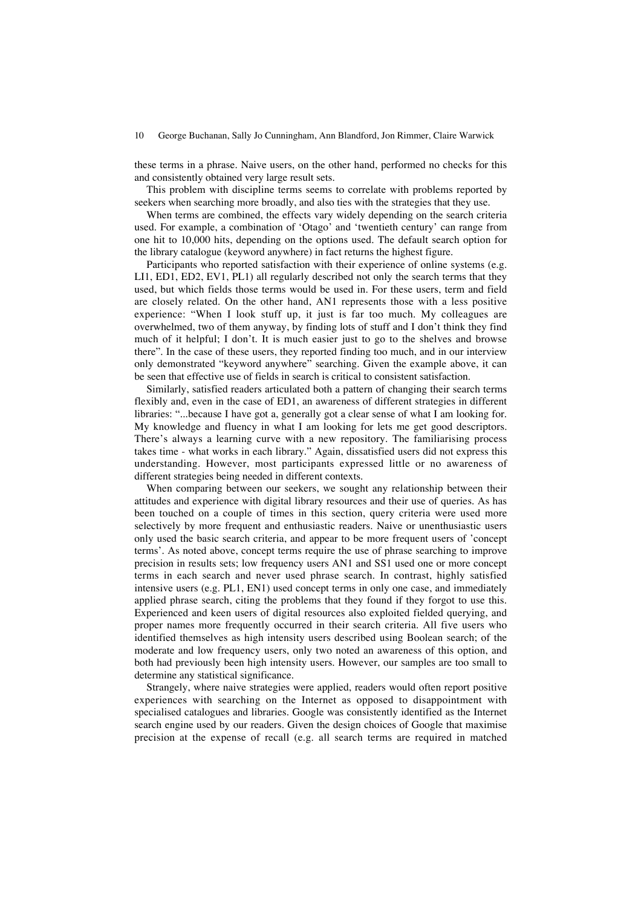these terms in a phrase. Naive users, on the other hand, performed no checks for this and consistently obtained very large result sets.

This problem with discipline terms seems to correlate with problems reported by seekers when searching more broadly, and also ties with the strategies that they use.

When terms are combined, the effects vary widely depending on the search criteria used. For example, a combination of 'Otago' and 'twentieth century' can range from one hit to 10,000 hits, depending on the options used. The default search option for the library catalogue (keyword anywhere) in fact returns the highest figure.

Participants who reported satisfaction with their experience of online systems (e.g. LI1, ED1, ED2, EV1, PL1) all regularly described not only the search terms that they used, but which fields those terms would be used in. For these users, term and field are closely related. On the other hand, AN1 represents those with a less positive experience: "When I look stuff up, it just is far too much. My colleagues are overwhelmed, two of them anyway, by finding lots of stuff and I don't think they find much of it helpful; I don't. It is much easier just to go to the shelves and browse there". In the case of these users, they reported finding too much, and in our interview only demonstrated "keyword anywhere" searching. Given the example above, it can be seen that effective use of fields in search is critical to consistent satisfaction.

Similarly, satisfied readers articulated both a pattern of changing their search terms flexibly and, even in the case of ED1, an awareness of different strategies in different libraries: "...because I have got a, generally got a clear sense of what I am looking for. My knowledge and fluency in what I am looking for lets me get good descriptors. There's always a learning curve with a new repository. The familiarising process takes time - what works in each library." Again, dissatisfied users did not express this understanding. However, most participants expressed little or no awareness of different strategies being needed in different contexts.

When comparing between our seekers, we sought any relationship between their attitudes and experience with digital library resources and their use of queries. As has been touched on a couple of times in this section, query criteria were used more selectively by more frequent and enthusiastic readers. Naive or unenthusiastic users only used the basic search criteria, and appear to be more frequent users of 'concept terms'. As noted above, concept terms require the use of phrase searching to improve precision in results sets; low frequency users AN1 and SS1 used one or more concept terms in each search and never used phrase search. In contrast, highly satisfied intensive users (e.g. PL1, EN1) used concept terms in only one case, and immediately applied phrase search, citing the problems that they found if they forgot to use this. Experienced and keen users of digital resources also exploited fielded querying, and proper names more frequently occurred in their search criteria. All five users who identified themselves as high intensity users described using Boolean search; of the moderate and low frequency users, only two noted an awareness of this option, and both had previously been high intensity users. However, our samples are too small to determine any statistical significance.

Strangely, where naive strategies were applied, readers would often report positive experiences with searching on the Internet as opposed to disappointment with specialised catalogues and libraries. Google was consistently identified as the Internet search engine used by our readers. Given the design choices of Google that maximise precision at the expense of recall (e.g. all search terms are required in matched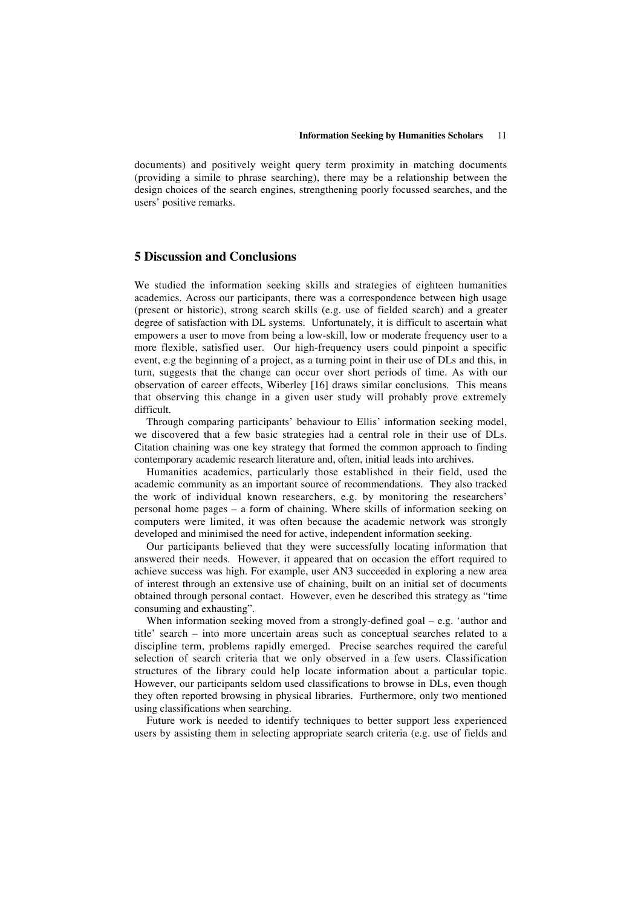documents) and positively weight query term proximity in matching documents (providing a simile to phrase searching), there may be a relationship between the design choices of the search engines, strengthening poorly focussed searches, and the users' positive remarks.

### **5 Discussion and Conclusions**

We studied the information seeking skills and strategies of eighteen humanities academics. Across our participants, there was a correspondence between high usage (present or historic), strong search skills (e.g. use of fielded search) and a greater degree of satisfaction with DL systems. Unfortunately, it is difficult to ascertain what empowers a user to move from being a low-skill, low or moderate frequency user to a more flexible, satisfied user. Our high-frequency users could pinpoint a specific event, e.g the beginning of a project, as a turning point in their use of DLs and this, in turn, suggests that the change can occur over short periods of time. As with our observation of career effects, Wiberley [16] draws similar conclusions. This means that observing this change in a given user study will probably prove extremely difficult.

Through comparing participants' behaviour to Ellis' information seeking model, we discovered that a few basic strategies had a central role in their use of DLs. Citation chaining was one key strategy that formed the common approach to finding contemporary academic research literature and, often, initial leads into archives.

Humanities academics, particularly those established in their field, used the academic community as an important source of recommendations. They also tracked the work of individual known researchers, e.g. by monitoring the researchers' personal home pages – a form of chaining. Where skills of information seeking on computers were limited, it was often because the academic network was strongly developed and minimised the need for active, independent information seeking.

Our participants believed that they were successfully locating information that answered their needs. However, it appeared that on occasion the effort required to achieve success was high. For example, user AN3 succeeded in exploring a new area of interest through an extensive use of chaining, built on an initial set of documents obtained through personal contact. However, even he described this strategy as "time consuming and exhausting".

When information seeking moved from a strongly-defined goal – e.g. 'author and title' search – into more uncertain areas such as conceptual searches related to a discipline term, problems rapidly emerged. Precise searches required the careful selection of search criteria that we only observed in a few users. Classification structures of the library could help locate information about a particular topic. However, our participants seldom used classifications to browse in DLs, even though they often reported browsing in physical libraries. Furthermore, only two mentioned using classifications when searching.

Future work is needed to identify techniques to better support less experienced users by assisting them in selecting appropriate search criteria (e.g. use of fields and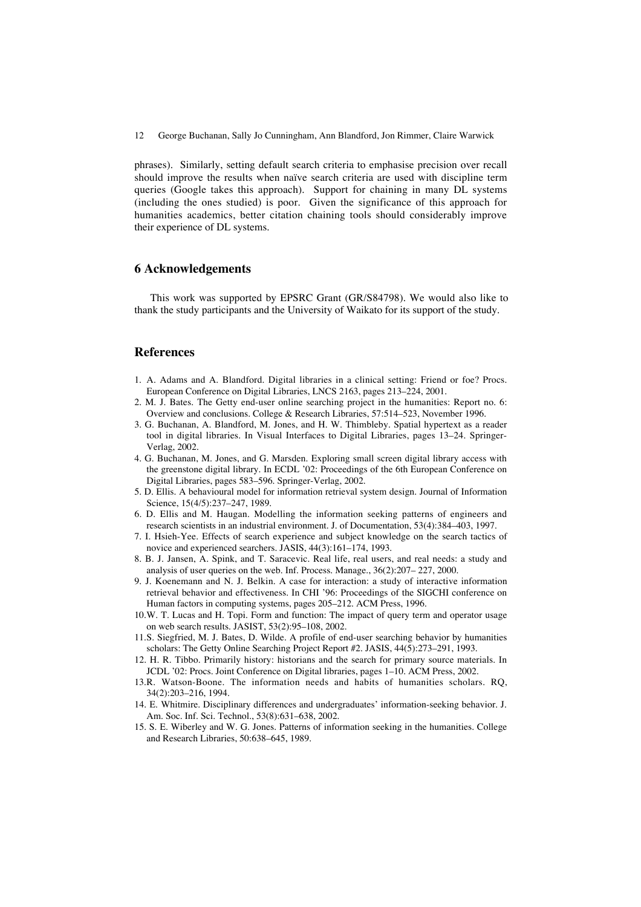phrases). Similarly, setting default search criteria to emphasise precision over recall should improve the results when naïve search criteria are used with discipline term queries (Google takes this approach). Support for chaining in many DL systems (including the ones studied) is poor. Given the significance of this approach for humanities academics, better citation chaining tools should considerably improve their experience of DL systems.

## **6 Acknowledgements**

This work was supported by EPSRC Grant (GR/S84798). We would also like to thank the study participants and the University of Waikato for its support of the study.

# **References**

- 1. A. Adams and A. Blandford. Digital libraries in a clinical setting: Friend or foe? Procs. European Conference on Digital Libraries, LNCS 2163, pages 213–224, 2001.
- 2. M. J. Bates. The Getty end-user online searching project in the humanities: Report no. 6: Overview and conclusions. College & Research Libraries, 57:514–523, November 1996.
- 3. G. Buchanan, A. Blandford, M. Jones, and H. W. Thimbleby. Spatial hypertext as a reader tool in digital libraries. In Visual Interfaces to Digital Libraries, pages 13–24. Springer-Verlag, 2002.
- 4. G. Buchanan, M. Jones, and G. Marsden. Exploring small screen digital library access with the greenstone digital library. In ECDL '02: Proceedings of the 6th European Conference on Digital Libraries, pages 583–596. Springer-Verlag, 2002.
- 5. D. Ellis. A behavioural model for information retrieval system design. Journal of Information Science, 15(4/5):237–247, 1989.
- 6. D. Ellis and M. Haugan. Modelling the information seeking patterns of engineers and research scientists in an industrial environment. J. of Documentation, 53(4):384–403, 1997.
- 7. I. Hsieh-Yee. Effects of search experience and subject knowledge on the search tactics of novice and experienced searchers. JASIS, 44(3):161–174, 1993.
- 8. B. J. Jansen, A. Spink, and T. Saracevic. Real life, real users, and real needs: a study and analysis of user queries on the web. Inf. Process. Manage., 36(2):207– 227, 2000.
- 9. J. Koenemann and N. J. Belkin. A case for interaction: a study of interactive information retrieval behavior and effectiveness. In CHI '96: Proceedings of the SIGCHI conference on Human factors in computing systems, pages 205–212. ACM Press, 1996.
- 10.W. T. Lucas and H. Topi. Form and function: The impact of query term and operator usage on web search results. JASIST, 53(2):95–108, 2002.
- 11.S. Siegfried, M. J. Bates, D. Wilde. A profile of end-user searching behavior by humanities scholars: The Getty Online Searching Project Report #2. JASIS, 44(5):273–291, 1993.
- 12. H. R. Tibbo. Primarily history: historians and the search for primary source materials. In JCDL '02: Procs. Joint Conference on Digital libraries, pages 1–10. ACM Press, 2002.
- 13.R. Watson-Boone. The information needs and habits of humanities scholars. RQ, 34(2):203–216, 1994.
- 14. E. Whitmire. Disciplinary differences and undergraduates' information-seeking behavior. J. Am. Soc. Inf. Sci. Technol., 53(8):631–638, 2002.
- 15. S. E. Wiberley and W. G. Jones. Patterns of information seeking in the humanities. College and Research Libraries, 50:638–645, 1989.